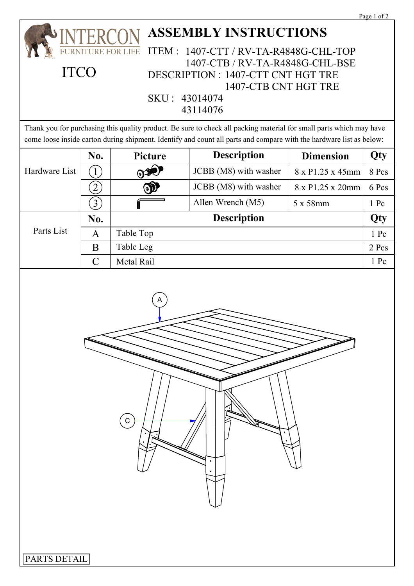|                                                                                                                                                                                                                                            |                  |                |                       |                  | rage 1 or 2 |
|--------------------------------------------------------------------------------------------------------------------------------------------------------------------------------------------------------------------------------------------|------------------|----------------|-----------------------|------------------|-------------|
| <b>ASSEMBLY INSTRUCTIONS</b>                                                                                                                                                                                                               |                  |                |                       |                  |             |
| <b>ITEM:</b><br>1407-CTT / RV-TA-R4848G-CHL-TOP<br>URNITURE FOR LIFE                                                                                                                                                                       |                  |                |                       |                  |             |
| 1407-CTB / RV-TA-R4848G-CHL-BSE<br><b>ITCO</b><br><b>DESCRIPTION : 1407-CTT CNT HGT TRE</b>                                                                                                                                                |                  |                |                       |                  |             |
| 1407-CTB CNT HGT TRE                                                                                                                                                                                                                       |                  |                |                       |                  |             |
| SKU: 43014074                                                                                                                                                                                                                              |                  |                |                       |                  |             |
| 43114076                                                                                                                                                                                                                                   |                  |                |                       |                  |             |
| Thank you for purchasing this quality product. Be sure to check all packing material for small parts which may have<br>come loose inside carton during shipment. Identify and count all parts and compare with the hardware list as below: |                  |                |                       |                  |             |
|                                                                                                                                                                                                                                            | No.              | Picture        | <b>Description</b>    | <b>Dimension</b> | Qty         |
| Hardware List                                                                                                                                                                                                                              | $\mathbf{1}$     | $\circledcirc$ | JCBB (M8) with washer | 8 x P1.25 x 45mm | 8 Pcs       |
|                                                                                                                                                                                                                                            | $\overline{2}$   | $\circledcirc$ | JCBB (M8) with washer | 8 x P1.25 x 20mm | 6 Pcs       |
|                                                                                                                                                                                                                                            | $\left(3\right)$ |                | Allen Wrench (M5)     | 5 x 58mm         | 1 Pc        |
| Parts List                                                                                                                                                                                                                                 | No.              | Description    |                       |                  | Qty         |
|                                                                                                                                                                                                                                            | A                | Table Top      |                       |                  | 1 Pc        |
|                                                                                                                                                                                                                                            | B                | Table Leg      |                       |                  | 2 Pcs       |
|                                                                                                                                                                                                                                            | $\mathcal{C}$    | Metal Rail     |                       |                  | 1 Pc        |
| A<br>C                                                                                                                                                                                                                                     |                  |                |                       |                  |             |
| PARTS DETAIL                                                                                                                                                                                                                               |                  |                |                       |                  |             |